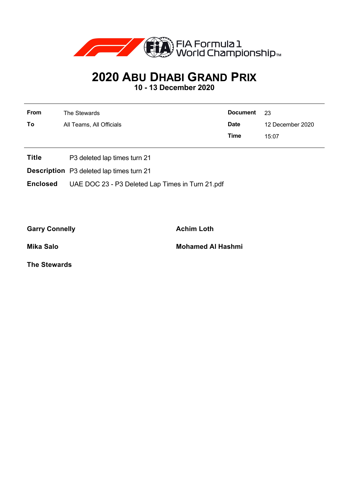

## **2020 ABU DHABI GRAND PRIX**

**10 - 13 December 2020**

| From | The Stewards             | <b>Document</b> | - 23             |
|------|--------------------------|-----------------|------------------|
| To   | All Teams, All Officials | <b>Date</b>     | 12 December 2020 |
|      |                          | Time            | 15:07            |
|      |                          |                 |                  |

- **Title** P3 deleted lap times turn 21
- **Description** P3 deleted lap times turn 21

**Enclosed** UAE DOC 23 - P3 Deleted Lap Times in Turn 21.pdf

Garry Connelly **Achim Loth** 

**Mika Salo Mohamed Al Hashmi**

**The Stewards**